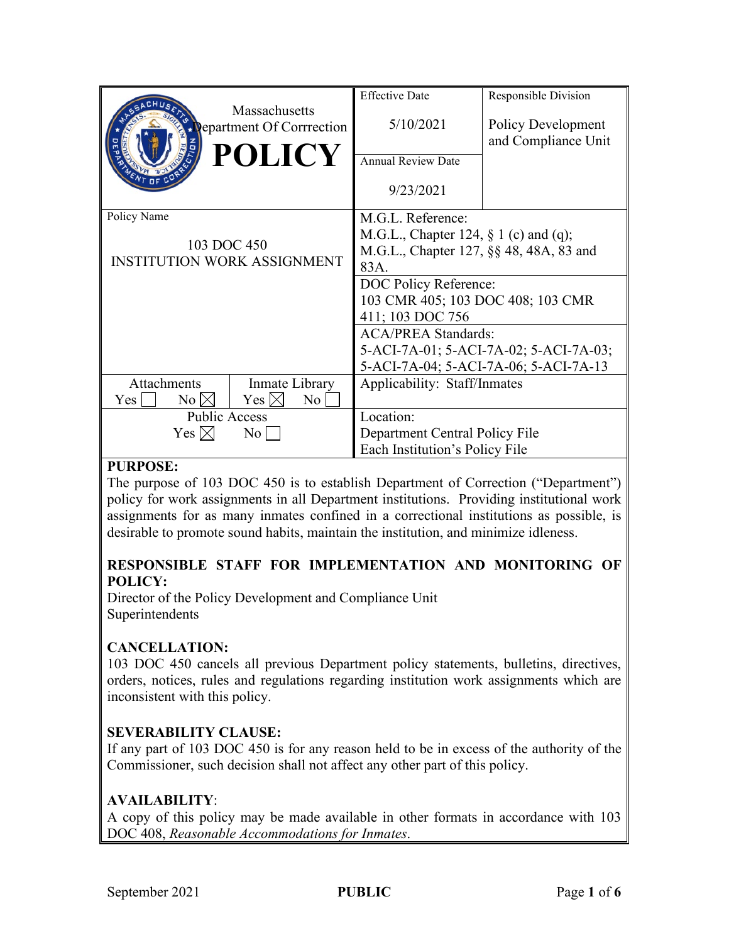|                                                   | Massachusetts                    | <b>Effective Date</b>                   | Responsible Division      |
|---------------------------------------------------|----------------------------------|-----------------------------------------|---------------------------|
|                                                   | <b>Pepartment Of Corrrection</b> | 5/10/2021                               | <b>Policy Development</b> |
|                                                   |                                  |                                         | and Compliance Unit       |
|                                                   | <b>POLICY</b>                    | <b>Annual Review Date</b>               |                           |
|                                                   |                                  | 9/23/2021                               |                           |
| Policy Name                                       |                                  | M.G.L. Reference:                       |                           |
| 103 DOC 450<br><b>INSTITUTION WORK ASSIGNMENT</b> |                                  | M.G.L., Chapter 124, § 1 (c) and (q);   |                           |
|                                                   |                                  | M.G.L., Chapter 127, §§ 48, 48A, 83 and |                           |
|                                                   |                                  | 83A.                                    |                           |
|                                                   |                                  | DOC Policy Reference:                   |                           |
|                                                   |                                  | 103 CMR 405; 103 DOC 408; 103 CMR       |                           |
|                                                   |                                  | 411; 103 DOC 756                        |                           |
|                                                   |                                  | <b>ACA/PREA Standards:</b>              |                           |
|                                                   |                                  | 5-ACI-7A-01; 5-ACI-7A-02; 5-ACI-7A-03;  |                           |
|                                                   |                                  | 5-ACI-7A-04; 5-ACI-7A-06; 5-ACI-7A-13   |                           |
| Attachments                                       | Inmate Library                   | Applicability: Staff/Inmates            |                           |
| $No \times$<br>Yes                                | Yes $\boxtimes$<br>No.           |                                         |                           |
| <b>Public Access</b>                              |                                  | Location:                               |                           |
| Yes $\boxtimes$<br>No                             |                                  | Department Central Policy File          |                           |
|                                                   |                                  | Each Institution's Policy File          |                           |

## **PURPOSE:**

The purpose of 103 DOC 450 is to establish Department of Correction ("Department") policy for work assignments in all Department institutions. Providing institutional work assignments for as many inmates confined in a correctional institutions as possible, is desirable to promote sound habits, maintain the institution, and minimize idleness.

## **RESPONSIBLE STAFF FOR IMPLEMENTATION AND MONITORING OF POLICY:**

Director of the Policy Development and Compliance Unit Superintendents

# **CANCELLATION:**

103 DOC 450 cancels all previous Department policy statements, bulletins, directives, orders, notices, rules and regulations regarding institution work assignments which are inconsistent with this policy.

# **SEVERABILITY CLAUSE:**

If any part of 103 DOC 450 is for any reason held to be in excess of the authority of the Commissioner, such decision shall not affect any other part of this policy.

# **AVAILABILITY**:

A copy of this policy may be made available in other formats in accordance with 103 DOC 408, *Reasonable Accommodations for Inmates*.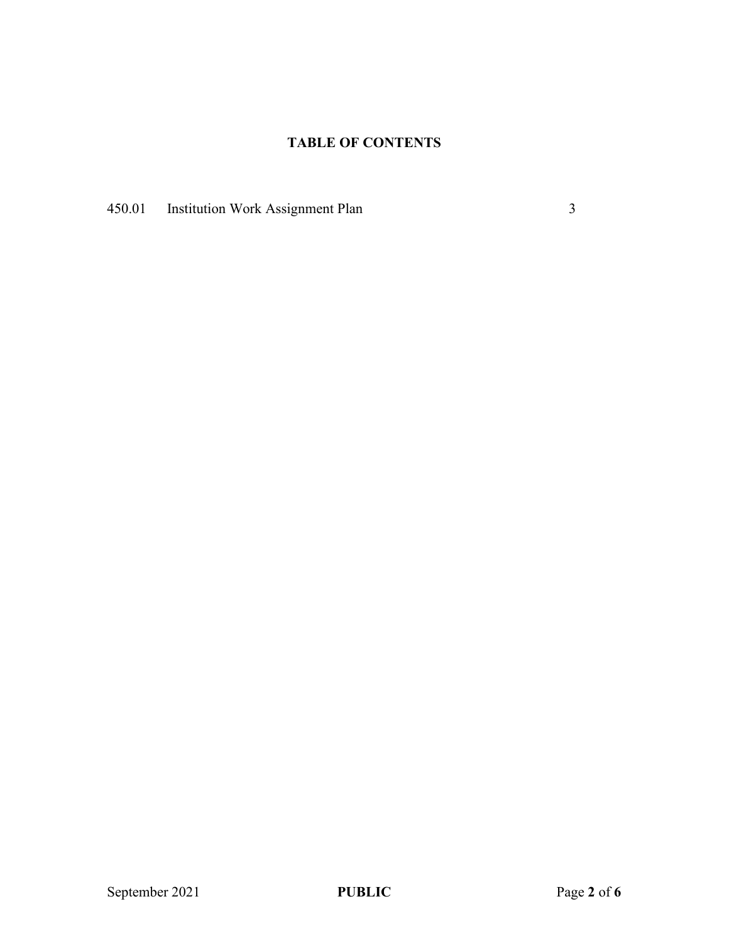# **TABLE OF CONTENTS**

450.01 Institution Work Assignment Plan 3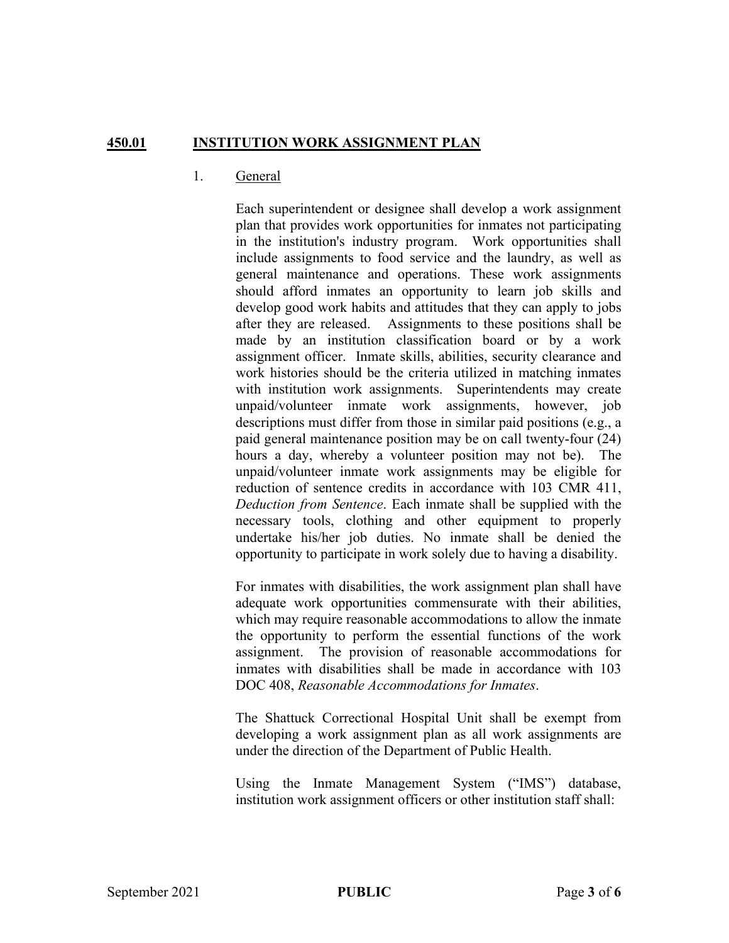### **450.01 INSTITUTION WORK ASSIGNMENT PLAN**

#### 1. General

Each superintendent or designee shall develop a work assignment plan that provides work opportunities for inmates not participating in the institution's industry program. Work opportunities shall include assignments to food service and the laundry, as well as general maintenance and operations. These work assignments should afford inmates an opportunity to learn job skills and develop good work habits and attitudes that they can apply to jobs after they are released. Assignments to these positions shall be made by an institution classification board or by a work assignment officer. Inmate skills, abilities, security clearance and work histories should be the criteria utilized in matching inmates with institution work assignments. Superintendents may create unpaid/volunteer inmate work assignments, however, job descriptions must differ from those in similar paid positions (e.g., a paid general maintenance position may be on call twenty-four (24) hours a day, whereby a volunteer position may not be). The unpaid/volunteer inmate work assignments may be eligible for reduction of sentence credits in accordance with 103 CMR 411, *Deduction from Sentence*. Each inmate shall be supplied with the necessary tools, clothing and other equipment to properly undertake his/her job duties. No inmate shall be denied the opportunity to participate in work solely due to having a disability.

For inmates with disabilities, the work assignment plan shall have adequate work opportunities commensurate with their abilities, which may require reasonable accommodations to allow the inmate the opportunity to perform the essential functions of the work assignment. The provision of reasonable accommodations for inmates with disabilities shall be made in accordance with 103 DOC 408, *Reasonable Accommodations for Inmates*.

The Shattuck Correctional Hospital Unit shall be exempt from developing a work assignment plan as all work assignments are under the direction of the Department of Public Health.

Using the Inmate Management System ("IMS") database, institution work assignment officers or other institution staff shall: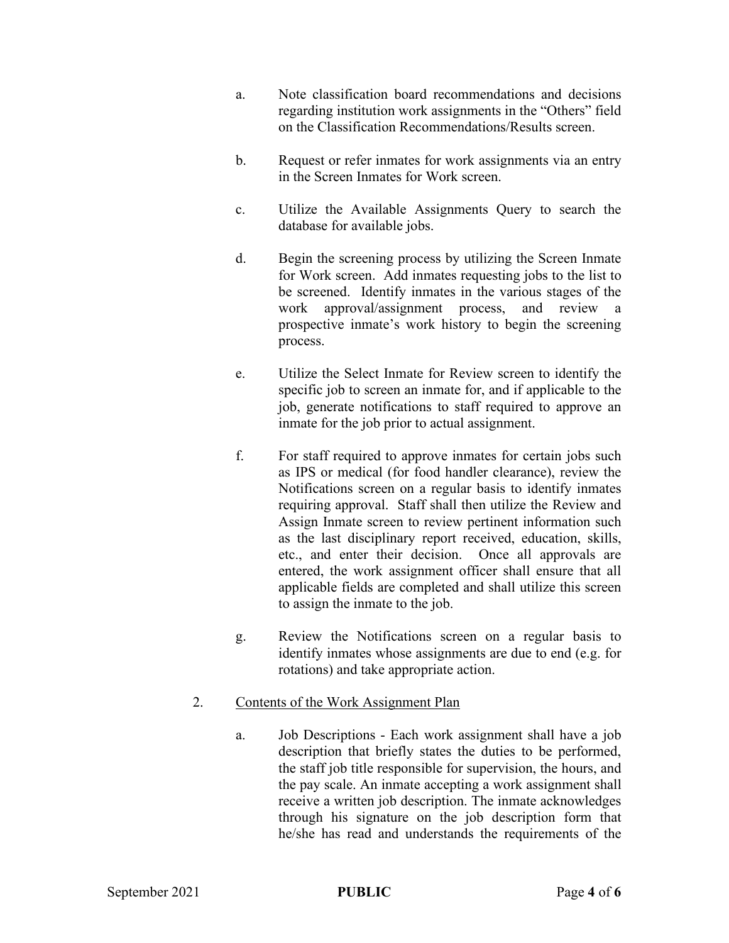- a. Note classification board recommendations and decisions regarding institution work assignments in the "Others" field on the Classification Recommendations/Results screen.
- b. Request or refer inmates for work assignments via an entry in the Screen Inmates for Work screen.
- c. Utilize the Available Assignments Query to search the database for available jobs.
- d. Begin the screening process by utilizing the Screen Inmate for Work screen. Add inmates requesting jobs to the list to be screened. Identify inmates in the various stages of the work approval/assignment process, and review a prospective inmate's work history to begin the screening process.
- e. Utilize the Select Inmate for Review screen to identify the specific job to screen an inmate for, and if applicable to the job, generate notifications to staff required to approve an inmate for the job prior to actual assignment.
- f. For staff required to approve inmates for certain jobs such as IPS or medical (for food handler clearance), review the Notifications screen on a regular basis to identify inmates requiring approval. Staff shall then utilize the Review and Assign Inmate screen to review pertinent information such as the last disciplinary report received, education, skills, etc., and enter their decision. Once all approvals are entered, the work assignment officer shall ensure that all applicable fields are completed and shall utilize this screen to assign the inmate to the job.
- g. Review the Notifications screen on a regular basis to identify inmates whose assignments are due to end (e.g. for rotations) and take appropriate action.

## 2. Contents of the Work Assignment Plan

a. Job Descriptions - Each work assignment shall have a job description that briefly states the duties to be performed, the staff job title responsible for supervision, the hours, and the pay scale. An inmate accepting a work assignment shall receive a written job description. The inmate acknowledges through his signature on the job description form that he/she has read and understands the requirements of the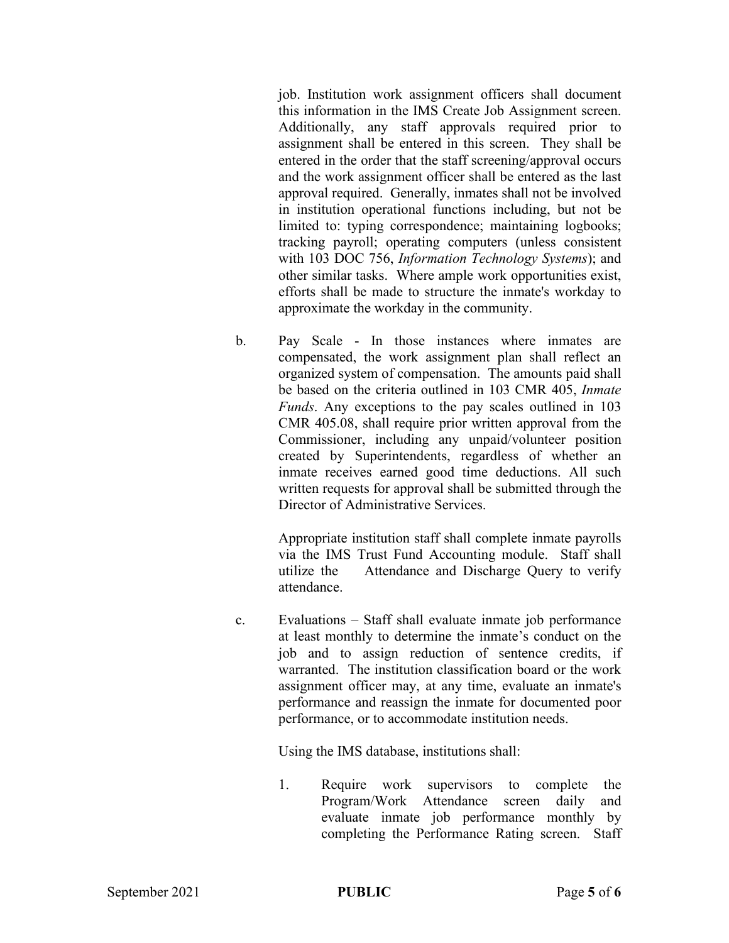job. Institution work assignment officers shall document this information in the IMS Create Job Assignment screen. Additionally, any staff approvals required prior to assignment shall be entered in this screen. They shall be entered in the order that the staff screening/approval occurs and the work assignment officer shall be entered as the last approval required. Generally, inmates shall not be involved in institution operational functions including, but not be limited to: typing correspondence; maintaining logbooks; tracking payroll; operating computers (unless consistent with 103 DOC 756, *Information Technology Systems*); and other similar tasks. Where ample work opportunities exist, efforts shall be made to structure the inmate's workday to approximate the workday in the community.

b. Pay Scale - In those instances where inmates are compensated, the work assignment plan shall reflect an organized system of compensation. The amounts paid shall be based on the criteria outlined in 103 CMR 405, *Inmate Funds*. Any exceptions to the pay scales outlined in 103 CMR 405.08, shall require prior written approval from the Commissioner, including any unpaid/volunteer position created by Superintendents, regardless of whether an inmate receives earned good time deductions. All such written requests for approval shall be submitted through the Director of Administrative Services.

> Appropriate institution staff shall complete inmate payrolls via the IMS Trust Fund Accounting module. Staff shall utilize the Attendance and Discharge Query to verify attendance.

c. Evaluations – Staff shall evaluate inmate job performance at least monthly to determine the inmate's conduct on the job and to assign reduction of sentence credits, if warranted. The institution classification board or the work assignment officer may, at any time, evaluate an inmate's performance and reassign the inmate for documented poor performance, or to accommodate institution needs.

Using the IMS database, institutions shall:

1. Require work supervisors to complete the Program/Work Attendance screen daily and evaluate inmate job performance monthly by completing the Performance Rating screen. Staff